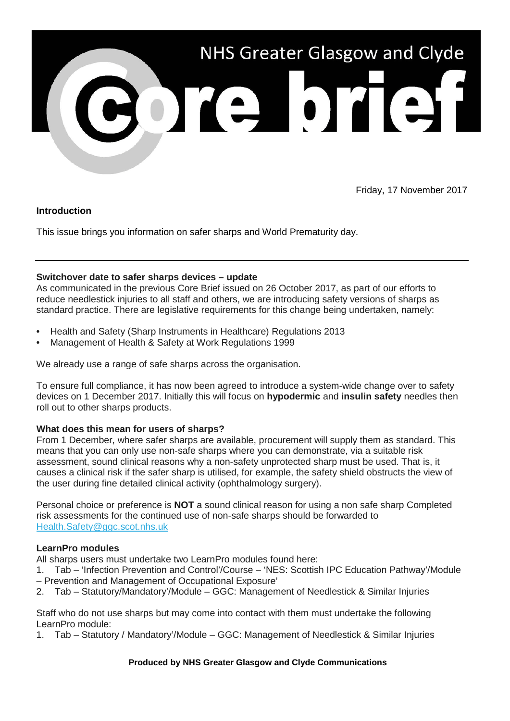

Friday, 17 November 2017

### **Introduction**

This issue brings you information on safer sharps and World Prematurity day.

### **Switchover date to safer sharps devices – update**

As communicated in the previous Core Brief issued on 26 October 2017, as part of our efforts to reduce needlestick injuries to all staff and others, we are introducing safety versions of sharps as standard practice. There are legislative requirements for this change being undertaken, namely:

- Health and Safety (Sharp Instruments in Healthcare) Regulations 2013
- Management of Health & Safety at Work Regulations 1999

We already use a range of safe sharps across the organisation.

To ensure full compliance, it has now been agreed to introduce a system-wide change over to safety devices on 1 December 2017. Initially this will focus on **hypodermic** and **insulin safety** needles then roll out to other sharps products.

### **What does this mean for users of sharps?**

From 1 December, where safer sharps are available, procurement will supply them as standard. This means that you can only use non-safe sharps where you can demonstrate, via a suitable risk assessment, sound clinical reasons why a non-safety unprotected sharp must be used. That is, it causes a clinical risk if the safer sharp is utilised, for example, the safety shield obstructs the view of the user during fine detailed clinical activity (ophthalmology surgery).

Personal choice or preference is **NOT** a sound clinical reason for using a non safe sharp Completed risk assessments for the continued use of non-safe sharps should be forwarded to [Health.Safety@ggc.scot.nhs.uk](mailto:Health.Safety@ggc.scot.nhs.uk?subject=Non-safe%20sharps)

# **LearnPro modules**

All sharps users must undertake two LearnPro modules found here:

- 1. Tab 'Infection Prevention and Control'/Course 'NES: Scottish IPC Education Pathway'/Module – Prevention and Management of Occupational Exposure'
- 2. Tab Statutory/Mandatory'/Module GGC: Management of Needlestick & Similar Injuries

Staff who do not use sharps but may come into contact with them must undertake the following LearnPro module:

1. Tab – Statutory / Mandatory'/Module – GGC: Management of Needlestick & Similar Injuries

### **Produced by NHS Greater Glasgow and Clyde Communications**